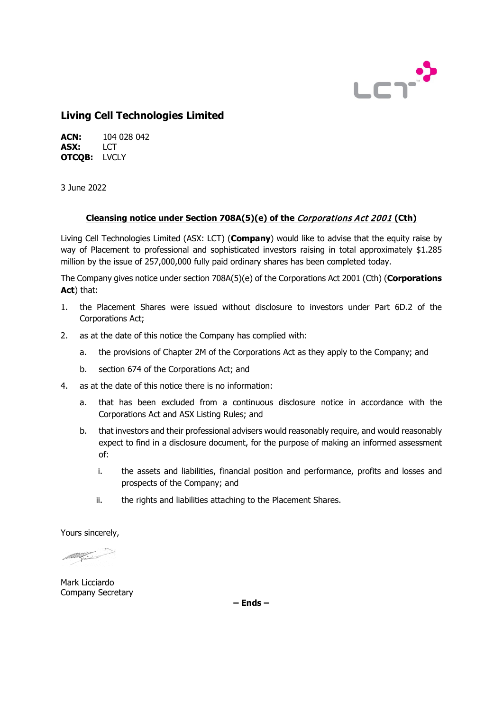

# **Living Cell Technologies Limited**

**ACN:** 104 028 042 **ASX:** LCT **OTCQB:** LVCLY

3 June 2022

## **Cleansing notice under Section 708A(5)(e) of the** Corporations Act 2001 **(Cth)**

Living Cell Technologies Limited (ASX: LCT) (**Company**) would like to advise that the equity raise by way of Placement to professional and sophisticated investors raising in total approximately \$1.285 million by the issue of 257,000,000 fully paid ordinary shares has been completed today.

The Company gives notice under section 708A(5)(e) of the Corporations Act 2001 (Cth) (**Corporations Act**) that:

- 1. the Placement Shares were issued without disclosure to investors under Part 6D.2 of the Corporations Act;
- 2. as at the date of this notice the Company has complied with:
	- a. the provisions of Chapter 2M of the Corporations Act as they apply to the Company; and
	- b. section 674 of the Corporations Act; and
- 4. as at the date of this notice there is no information:
	- a. that has been excluded from a continuous disclosure notice in accordance with the Corporations Act and ASX Listing Rules; and
	- b. that investors and their professional advisers would reasonably require, and would reasonably expect to find in a disclosure document, for the purpose of making an informed assessment of:
		- i. the assets and liabilities, financial position and performance, profits and losses and prospects of the Company; and
		- ii. the rights and liabilities attaching to the Placement Shares.

Yours sincerely,

Mark Licciardo Company Secretary

**– Ends –**